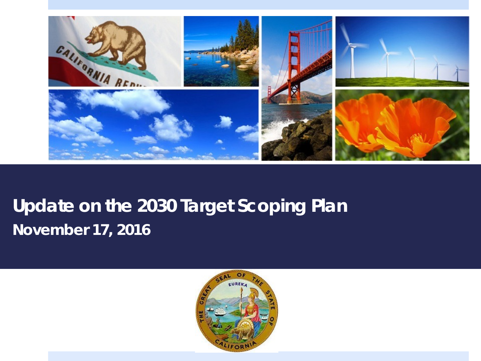

### **Update on the 2030 Target Scoping Plan** *November 17, 2016*

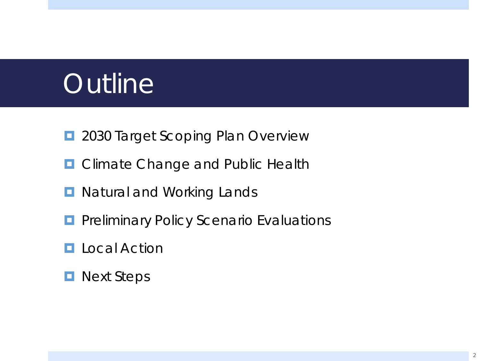# **Outline**

- **D** 2030 Target Scoping Plan Overview
- **D** Climate Change and Public Health
- **D** Natural and Working Lands
- **Parice Act Article Findings Policy Scenario Evaluations**
- **L** Local Action
- **Next Steps**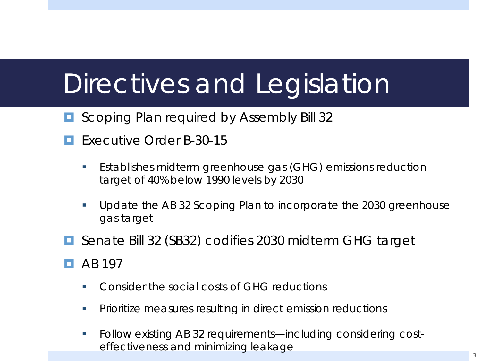# Directives and Legislation

- **E** Scoping Plan required by Assembly Bill 32
- Executive Order B-30-15
	- Establishes midterm greenhouse gas (GHG) emissions reduction target of 40% below 1990 levels by 2030
	- Update the AB 32 Scoping Plan to incorporate the 2030 greenhouse gas target
- Senate Bill 32 (SB32) codifies 2030 midterm GHG target
- $\Box$  AB 197
	- **Consider the social costs of GHG reductions**
	- Prioritize measures resulting in direct emission reductions
	- Follow existing AB 32 requirements—including considering costeffectiveness and minimizing leakage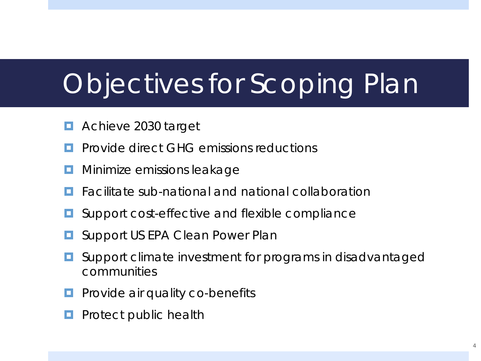# Objectives for Scoping Plan

- Achieve 2030 target
- **P** Provide direct GHG emissions reductions
- **<u>E</u>** Minimize emissions leakage
- Facilitate sub-national and national collaboration
- Support cost-effective and flexible compliance
- Support US EPA Clean Power Plan
- Support climate investment for programs in disadvantaged communities
- $\Box$  Provide air quality co-benefits
- Protect public health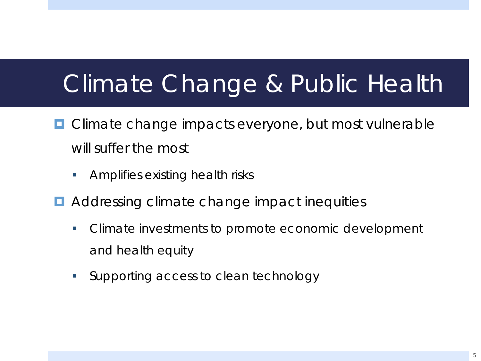## Climate Change & Public Health

- **□** Climate change impacts everyone, but most vulnerable will suffer the most
	- **Amplifies existing health risks**
- Addressing climate change impact inequities
	- Climate investments to promote economic development and health equity
	- **Supporting access to clean technology**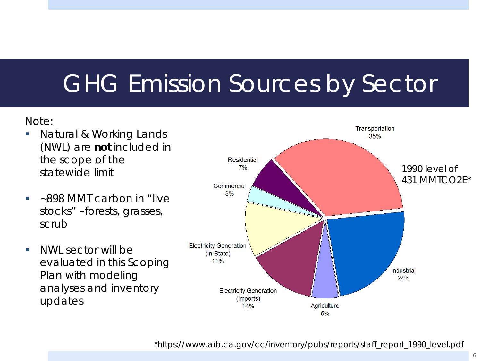## GHG Emission Sources by Sector

Note:

- **Natural & Working Lands** (NWL) are **not** included in the scope of the statewide limit
- ~898 MMT carbon in "live stocks" –forests, grasses, scrub
- NWL sector will be evaluated in this Scoping Plan with modeling analyses and inventory updates

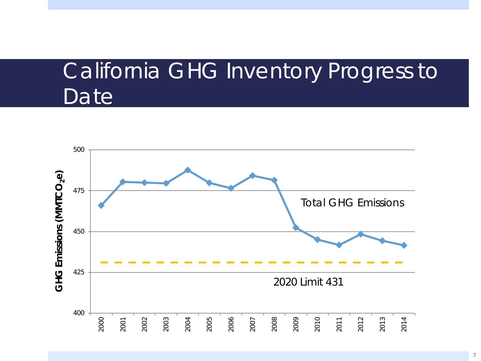### California GHG Inventory Progress to Date

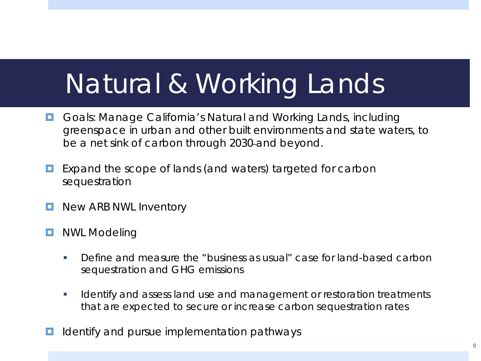# Natural & Working Lands

- **G** Goals: Manage California's Natural and Working Lands, including *greenspace in urban and other built environments and state waters, to be a net sink of carbon through 2030 and beyond.*
- Expand the scope of lands (and waters) targeted for carbon sequestration
- **New ARB NWL Inventory**
- **D** NWL Modeling
	- Define and measure the "business as usual" case for land-based carbon sequestration and GHG emissions
	- I Identify and assess land use and management or restoration treatments that are expected to secure or increase carbon sequestration rates
- Identify and pursue implementation pathways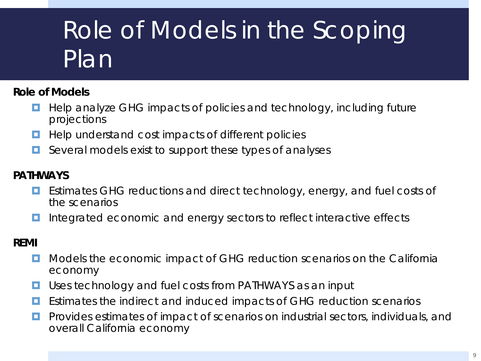# Role of Models in the Scoping Plan

#### **Role of Models**

- $\Box$  Help analyze GHG impacts of policies and technology, including future projections
- **Help understand cost impacts of different policies**
- $\Box$  Several models exist to support these types of analyses

#### **PATHWAYS**

- Estimates GHG reductions and direct technology, energy, and fuel costs of the scenarios
- Integrated economic and energy sectors to reflect interactive effects

#### **REMI**

- **D** Models the economic impact of GHG reduction scenarios on the California economy
- **U** Uses technology and fuel costs from PATHWAYS as an input
- **E** Estimates the indirect and induced impacts of GHG reduction scenarios
- **Provides estimates of impact of scenarios on industrial sectors, individuals, and** overall California economy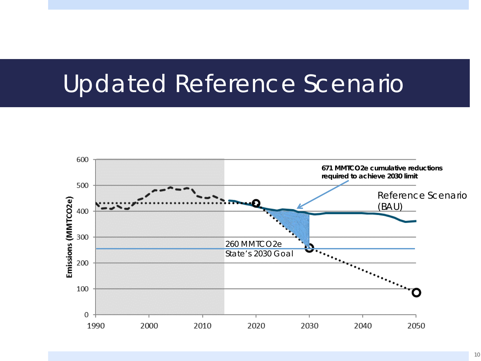### Updated Reference Scenario

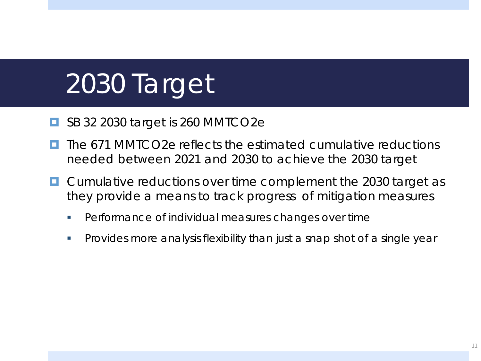# 2030 Target

- SB 32 2030 target is 260 MMTCO2e
- The 671 MMTCO2e reflects the estimated cumulative reductions needed between 2021 and 2030 to achieve the 2030 target
- **E** Cumulative reductions over time complement the 2030 target as they provide a means to track progress of mitigation measures
	- **Performance of individual measures changes over time**
	- Provides more analysis flexibility than just a snap shot of a single year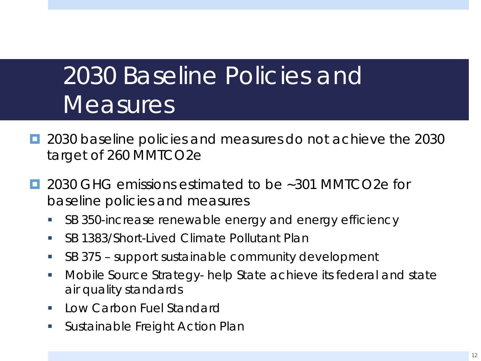## 2030 Baseline Policies and **Measures**

- 2030 baseline policies and measures do not achieve the 2030 target of 260 MMTCO2e
- $\blacksquare$  2030 GHG emissions estimated to be ~301 MMTCO2e for baseline policies and measures
	- **SB 350-increase renewable energy and energy efficiency**
	- SB 1383/Short-Lived Climate Pollutant Plan
	- SB 375 support sustainable community development
	- Mobile Source Strategy- help State achieve its federal and state air quality standards
	- Low Carbon Fuel Standard
	- **Sustainable Freight Action Plan**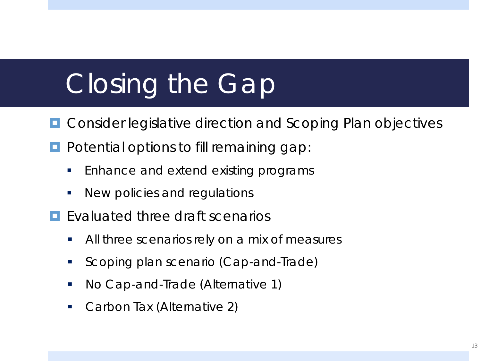# Closing the Gap

- **D** Consider legislative direction and Scoping Plan objectives
- **Potential options to fill remaining gap:** 
	- **Enhance and extend existing programs**
	- **New policies and regulations**
- **E** Fyaluated three draft scenarios
	- All three scenarios rely on a mix of measures
	- Scoping plan scenario (Cap-and-Trade)
	- No Cap-and-Trade (Alternative 1)
	- Carbon Tax (Alternative 2)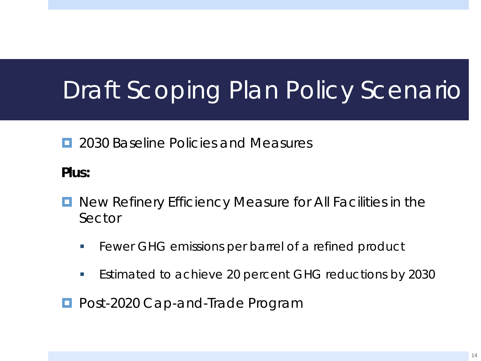# Draft Scoping Plan Policy Scenario

**E** 2030 Baseline Policies and Measures

**Plus:**

- **D** New Refinery Efficiency Measure for All Facilities in the Sector
	- **Fewer GHG emissions per barrel of a refined product**
	- **Estimated to achieve 20 percent GHG reductions by 2030**

**Post-2020 Cap-and-Trade Program**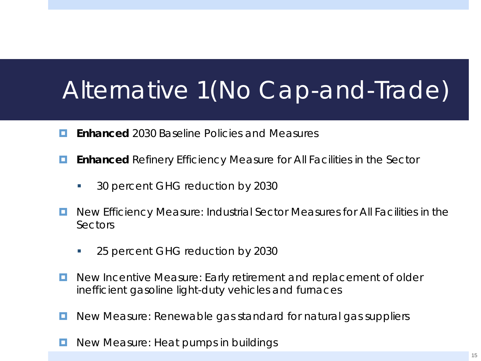## Alternative 1(No Cap-and-Trade)

- **Enhanced** 2030 Baseline Policies and Measures
- **Enhanced** Refinery Efficiency Measure for All Facilities in the Sector
	- 30 percent GHG reduction by 2030
- **D** New Efficiency Measure: Industrial Sector Measures for All Facilities in the Sectors
	- 25 percent GHG reduction by 2030
- **D** New Incentive Measure: Early retirement and replacement of older inefficient gasoline light-duty vehicles and furnaces
- **D** New Measure: Renewable gas standard for natural gas suppliers
- New Measure: Heat pumps in buildings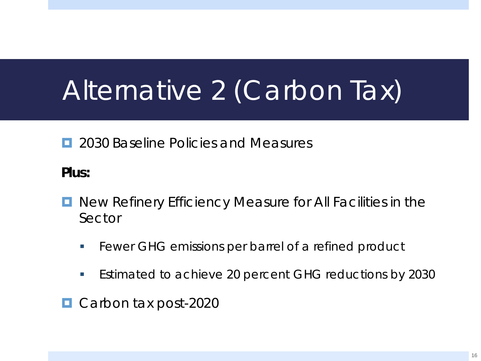# Alternative 2 (Carbon Tax)

**E** 2030 Baseline Policies and Measures

**Plus:**

- **D** New Refinery Efficiency Measure for All Facilities in the Sector
	- **Fewer GHG emissions per barrel of a refined product**
	- **Estimated to achieve 20 percent GHG reductions by 2030**
- Carbon tax post-2020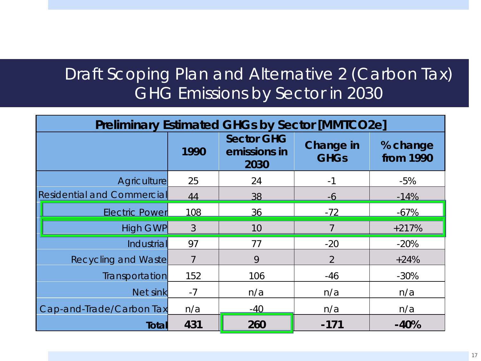#### Draft Scoping Plan and Alternative 2 (Carbon Tax) GHG Emissions by Sector in 2030

| <b>Preliminary Estimated GHGs by Sector [MMTCO2e]</b> |               |                                           |                          |                       |  |  |
|-------------------------------------------------------|---------------|-------------------------------------------|--------------------------|-----------------------|--|--|
|                                                       | 1990          | <b>Sector GHG</b><br>emissions in<br>2030 | Change in<br><b>GHGs</b> | % change<br>from 1990 |  |  |
| <b>Agriculture</b>                                    | 25            | 24                                        | $-1$                     | $-5%$                 |  |  |
| <b>Residential and Commercial</b>                     | 44            | 38                                        | $-6$                     | $-14%$                |  |  |
| <b>Electric Power</b>                                 | 108           | 36                                        | $-72$                    | $-67%$                |  |  |
| <b>High GWP</b>                                       | $\mathcal{S}$ | 10                                        | 7                        | $+217%$               |  |  |
| Industrial                                            | 97            | 77                                        | $-20$                    | $-20%$                |  |  |
| <b>Recycling and Waste</b>                            |               | 9                                         | $\overline{2}$           | $+24%$                |  |  |
| Transportation                                        | 152           | 106                                       | $-46$                    | $-30%$                |  |  |
| Net sink                                              | $-7$          | n/a                                       | n/a                      | n/a                   |  |  |
| Cap-and-Trade/Carbon Tax                              | n/a           | $-40$                                     | n/a                      | n/a                   |  |  |
| Totall                                                | 431           | 260                                       | $-171$                   | $-40%$                |  |  |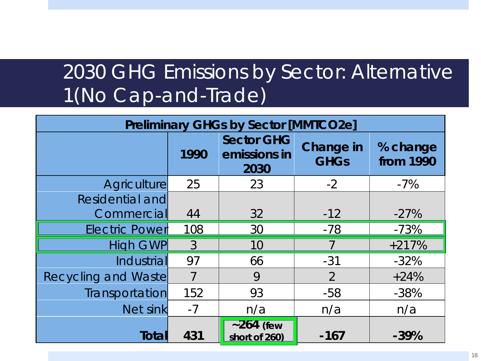### 2030 GHG Emissions by Sector: Alternative 1(No Cap-and-Trade)

| <b>Preliminary GHGs by Sector [MMTCO2e]</b> |                |                                           |                                 |                       |  |  |
|---------------------------------------------|----------------|-------------------------------------------|---------------------------------|-----------------------|--|--|
|                                             | 1990           | <b>Sector GHG</b><br>emissions in<br>2030 | <b>Change in</b><br><b>GHGs</b> | % change<br>from 1990 |  |  |
| <b>Agriculture</b>                          | 25             | 23                                        | $-2$                            | $-7\%$                |  |  |
| Residential and                             |                |                                           |                                 |                       |  |  |
| Commercial                                  | 44             | 32                                        | $-12$                           | $-27%$                |  |  |
| <b>Electric Power</b>                       | 108            | 30                                        | $-78$                           | $-73%$                |  |  |
| <b>High GWP</b>                             | 3              | 10                                        | 7                               | $+217%$               |  |  |
| Industrial                                  | 97             | 66                                        | $-31$                           | $-32%$                |  |  |
| <b>Recycling and Waste</b>                  | $\overline{7}$ | 9                                         | $\overline{2}$                  | $+24%$                |  |  |
| Transportation                              | 152            | 93                                        | $-58$                           | $-38%$                |  |  |
| Net sink                                    | $-7$           | n/a                                       | n/a                             | n/a                   |  |  |
| Total                                       | 431            | $\sim$ 264 (few<br>short of 260)          | $-167$                          | $-39%$                |  |  |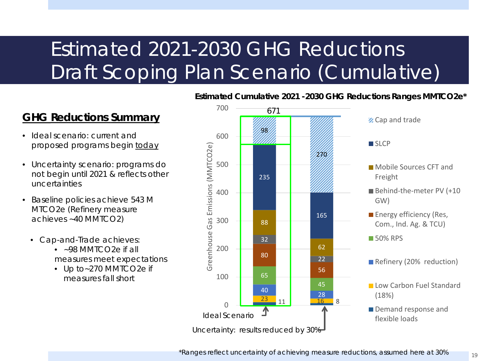### Estimated 2021-2030 GHG Reductions Draft Scoping Plan Scenario (Cumulative)

#### <sup>671</sup> **GHG Reductions Summary**

- Ideal scenario: current and proposed programs begin today
- Uncertainty scenario: programs do not begin until 2021 & reflects other uncertainties
- Baseline policies achieve 543 M MTCO2e (Refinery measure achieves ~40 MMTCO2)
	- Cap-and-Trade achieves:
		- ~98 MMTCO2e if all measures meet expectations
		- Up to~270 MMTCO2e if measures fall short



#### **Estimated Cumulative 2021 -2030 GHG Reductions Ranges MMTCO2e\***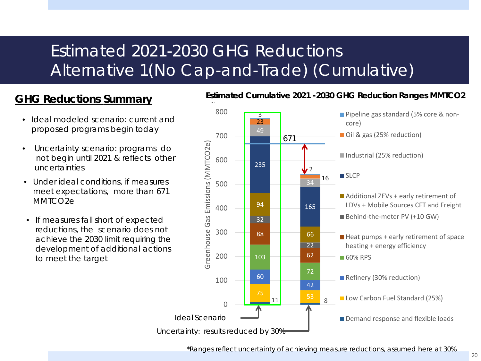#### Estimated 2021-2030 GHG Reductions Alternative 1(No Cap-and-Trade) (Cumulative)

#### **GHG Reductions Summary**

- Ideal modeled scenario: current and proposed programs begin today
- Uncertainty scenario: programs do not begin until 2021 & reflects other uncertainties
- Under ideal conditions, if measures meet expectations, more than 671 MMTCO<sub>2e</sub>
- If measures fall short of expected reductions, the scenario does not achieve the 2030 limit requiring the development of additional actions to meet the target



#### **Estimated Cumulative 2021 -2030 GHG Reduction Ranges MMTCO2**

\*Ranges reflect uncertainty of achieving measure reductions, assumed here at 30%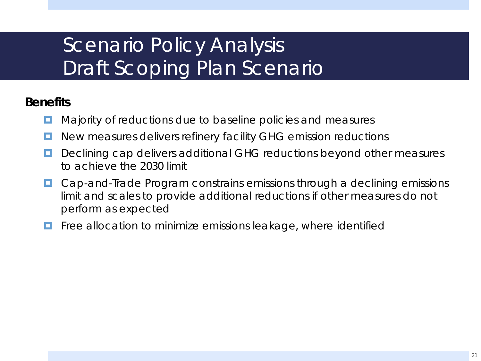### Scenario Policy Analysis Draft Scoping Plan Scenario

#### **Benefits**

- Majority of reductions due to baseline policies and measures
- **D** New measures delivers refinery facility GHG emission reductions
- Declining cap delivers additional GHG reductions beyond other measures to achieve the 2030 limit
- Cap-and-Trade Program constrains emissions through a declining emissions limit and scales to provide additional reductions if other measures do not perform as expected
- Free allocation to minimize emissions leakage, where identified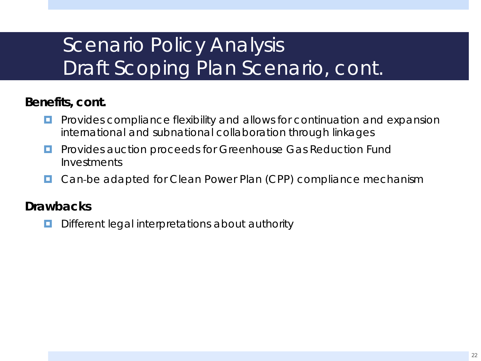### Scenario Policy Analysis Draft Scoping Plan Scenario, cont.

#### **Benefits, cont.**

- Provides compliance flexibility and allows for continuation and expansion international and subnational collaboration through linkages
- **Provides auction proceeds for Greenhouse Gas Reduction Fund** Investments
- Can be adapted for Clean Power Plan (CPP) compliance mechanism

#### **Drawbacks**

Different legal interpretations about authority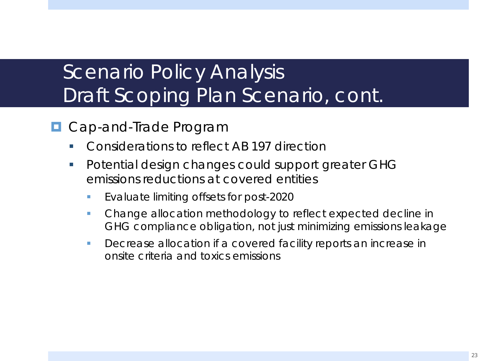### Scenario Policy Analysis Draft Scoping Plan Scenario, cont.

- **D** Cap-and-Trade Program
	- Considerations to reflect AB 197 direction
	- **Potential design changes could support greater GHG** emissions reductions at covered entities
		- **Evaluate limiting offsets for post-2020**
		- Change allocation methodology to reflect expected decline in GHG compliance obligation, not just minimizing emissions leakage
		- **Decrease allocation if a covered facility reports an increase in** onsite criteria and toxics emissions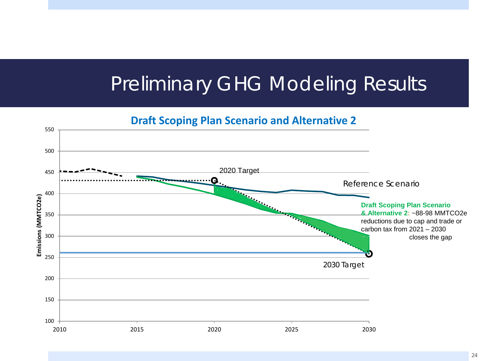### Preliminary GHG Modeling Results

**Draft Scoping Plan Scenario and Alternative 2**

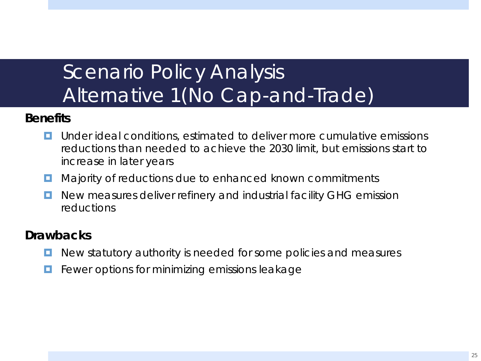### Scenario Policy Analysis Alternative 1 (No Cap-and-Trade)

#### **Benefits**

- **L** Under ideal conditions, estimated to deliver more cumulative emissions reductions than needed to achieve the 2030 limit, but emissions start to increase in later years
- Majority of reductions due to enhanced known commitments
- **D** New measures deliver refinery and industrial facility GHG emission reductions

#### **Drawbacks**

- New statutory authority is needed for some policies and measures
- Fewer options for minimizing emissions leakage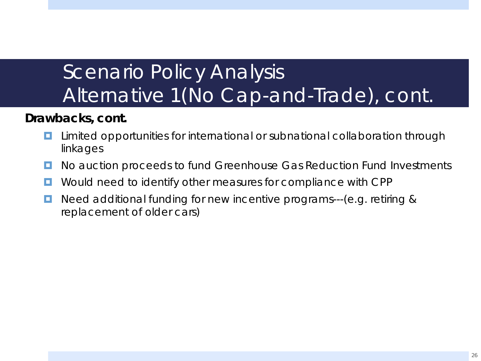### Scenario Policy Analysis Alternative 1(No Cap-and-Trade), cont.

#### **Drawbacks, cont.**

- Limited opportunities for international or subnational collaboration through linkages
- **D** No auction proceeds to fund Greenhouse Gas Reduction Fund Investments
- **D** Would need to identify other measures for compliance with CPP
- Need additional funding for new incentive programs---(e.g. retiring & replacement of older cars)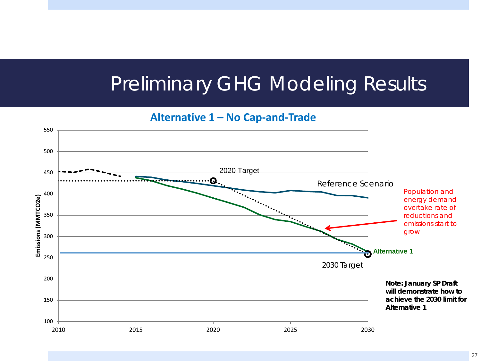### Preliminary GHG Modeling Results

**Alternative 1 – No Cap-and-Trade**

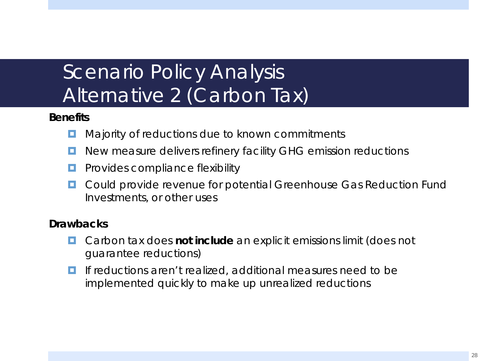### Scenario Policy Analysis Alternative 2 (Carbon Tax)

#### **Benefits**

- **E** Majority of reductions due to known commitments
- **D** New measure delivers refinery facility GHG emission reductions
- **Provides compliance flexibility**
- **D** Could provide revenue for potential Greenhouse Gas Reduction Fund Investments, or other uses

#### **Drawbacks**

- Carbon tax does **not include** an explicit emissions limit (does not guarantee reductions)
- **If** if reductions aren't realized, additional measures need to be implemented quickly to make up unrealized reductions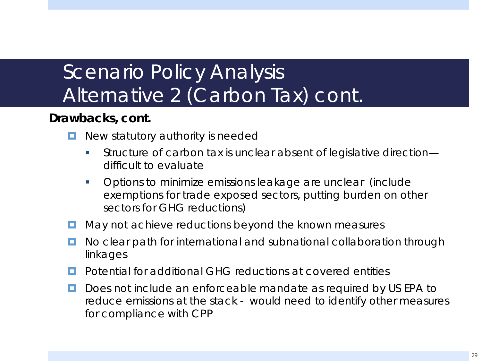### Scenario Policy Analysis Alternative 2 (Carbon Tax) cont.

#### **Drawbacks, cont.**

- New statutory authority is needed
	- Structure of carbon tax is unclear absent of legislative direction difficult to evaluate
	- Options to minimize emissions leakage are unclear (include exemptions for trade exposed sectors, putting burden on other sectors for GHG reductions)
- $\Box$  May not achieve reductions beyond the known measures
- **D** No clear path for international and subnational collaboration through linkages
- **Potential for additional GHG reductions at covered entities**
- D Does not include an enforceable mandate as required by US EPA to reduce emissions at the stack - would need to identify other measures for compliance with CPP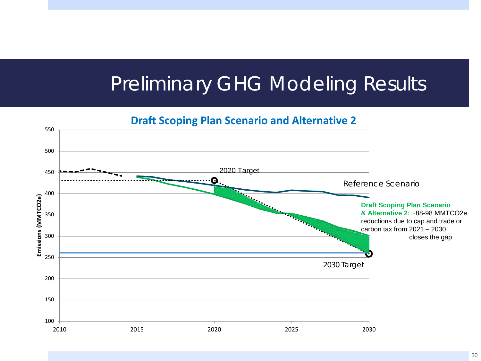### Preliminary GHG Modeling Results

**Draft Scoping Plan Scenario and Alternative 2**

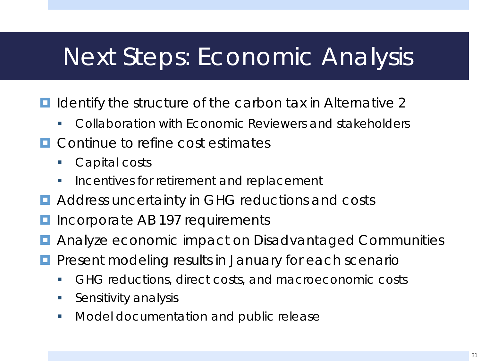## Next Steps: Economic Analysis

- Identify the structure of the carbon tax in Alternative 2
	- Collaboration with Economic Reviewers and stakeholders
- **E.** Continue to refine cost estimates
	- Capital costs
	- Incentives for retirement and replacement
- **E** Address uncertainty in GHG reductions and costs
- **I** Incorporate AB 197 requirements
- **E** Analyze economic impact on Disadvantaged Communities
- **P** Present modeling results in January for each scenario
	- GHG reductions, direct costs, and macroeconomic costs
	- **Sensitivity analysis**
	- **Model documentation and public release**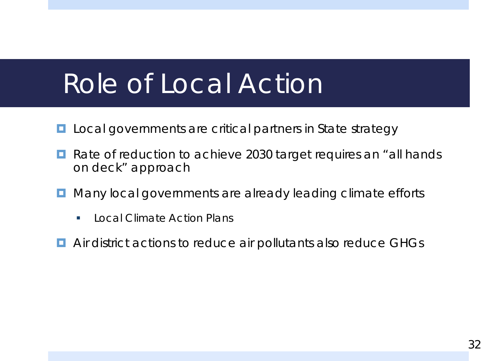## Role of Local Action

- **L** Local governments are critical partners in State strategy
- Rate of reduction to achieve 2030 target requires an "all hands" on deck" approach
- Many local governments are already leading climate efforts
	- Local Climate Action Plans
- **E** Air district actions to reduce air pollutants also reduce GHGs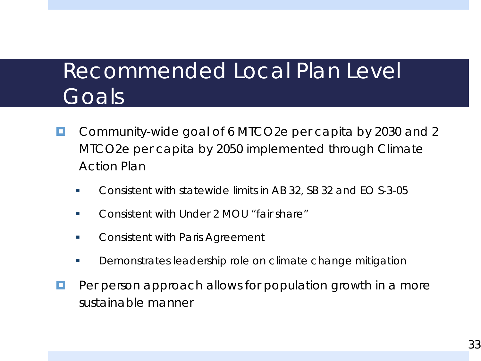### Recommended Local Plan Level Goals

- Community-wide goal of 6 MTCO2e per capita by 2030 and 2 MTCO2e per capita by 2050 implemented through Climate Action Plan
	- Consistent with statewide limits in AB 32, SB 32 and EO S-3-05
	- **Consistent with Under 2 MOU "fair share"**
	- **EXECONS** Consistent with Paris Agreement
	- **Demonstrates leadership role on climate change mitigation**
- Per person approach allows for population growth in a more sustainable manner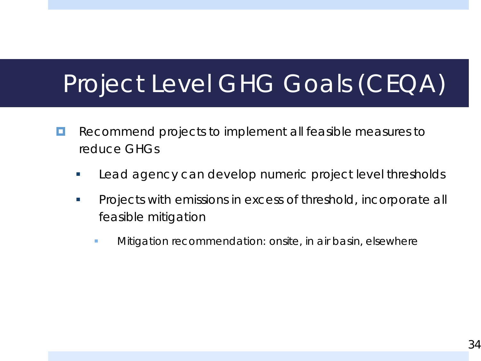## Project Level GHG Goals (CEQA)

- **Recommend projects to implement all feasible measures to** reduce GHGs
	- **Lead agency can develop numeric project level thresholds**
	- **Projects with emissions in excess of threshold, incorporate all** feasible mitigation
		- **Nitigation recommendation: onsite, in air basin, elsewhere**